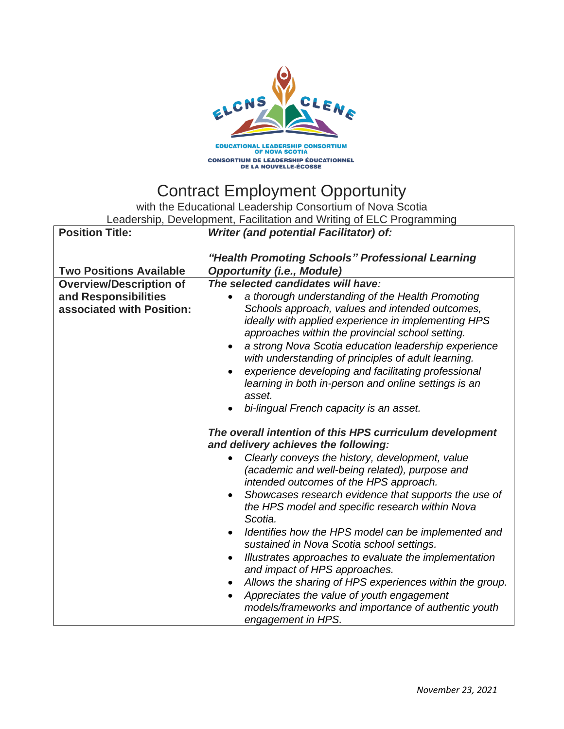

## Contract Employment Opportunity

with the Educational Leadership Consortium of Nova Scotia Leadership, Development, Facilitation and Writing of ELC Programming

| <b>Position Title:</b>                                                              | Luducianip, Duvulupinuni, Faulitation and Writing of LLUT rogramming<br>Writer (and potential Facilitator) of:                                                                                                                                                                                                                                                                                                                                                                                                                                                                                                                                                                                                                                                                                                                                                                                                                                                                                                                                                                                                                                                                                                         |
|-------------------------------------------------------------------------------------|------------------------------------------------------------------------------------------------------------------------------------------------------------------------------------------------------------------------------------------------------------------------------------------------------------------------------------------------------------------------------------------------------------------------------------------------------------------------------------------------------------------------------------------------------------------------------------------------------------------------------------------------------------------------------------------------------------------------------------------------------------------------------------------------------------------------------------------------------------------------------------------------------------------------------------------------------------------------------------------------------------------------------------------------------------------------------------------------------------------------------------------------------------------------------------------------------------------------|
|                                                                                     |                                                                                                                                                                                                                                                                                                                                                                                                                                                                                                                                                                                                                                                                                                                                                                                                                                                                                                                                                                                                                                                                                                                                                                                                                        |
| <b>Two Positions Available</b>                                                      | "Health Promoting Schools" Professional Learning<br><b>Opportunity (i.e., Module)</b>                                                                                                                                                                                                                                                                                                                                                                                                                                                                                                                                                                                                                                                                                                                                                                                                                                                                                                                                                                                                                                                                                                                                  |
|                                                                                     |                                                                                                                                                                                                                                                                                                                                                                                                                                                                                                                                                                                                                                                                                                                                                                                                                                                                                                                                                                                                                                                                                                                                                                                                                        |
| <b>Overview/Description of</b><br>and Responsibilities<br>associated with Position: | The selected candidates will have:<br>a thorough understanding of the Health Promoting<br>Schools approach, values and intended outcomes,<br>ideally with applied experience in implementing HPS<br>approaches within the provincial school setting.<br>a strong Nova Scotia education leadership experience<br>with understanding of principles of adult learning.<br>experience developing and facilitating professional<br>learning in both in-person and online settings is an<br>asset.<br>bi-lingual French capacity is an asset.<br>The overall intention of this HPS curriculum development<br>and delivery achieves the following:<br>Clearly conveys the history, development, value<br>(academic and well-being related), purpose and<br>intended outcomes of the HPS approach.<br>Showcases research evidence that supports the use of<br>the HPS model and specific research within Nova<br>Scotia.<br>Identifies how the HPS model can be implemented and<br>sustained in Nova Scotia school settings.<br>Illustrates approaches to evaluate the implementation<br>and impact of HPS approaches.<br>Allows the sharing of HPS experiences within the group.<br>Appreciates the value of youth engagement |
|                                                                                     | models/frameworks and importance of authentic youth<br>engagement in HPS.                                                                                                                                                                                                                                                                                                                                                                                                                                                                                                                                                                                                                                                                                                                                                                                                                                                                                                                                                                                                                                                                                                                                              |